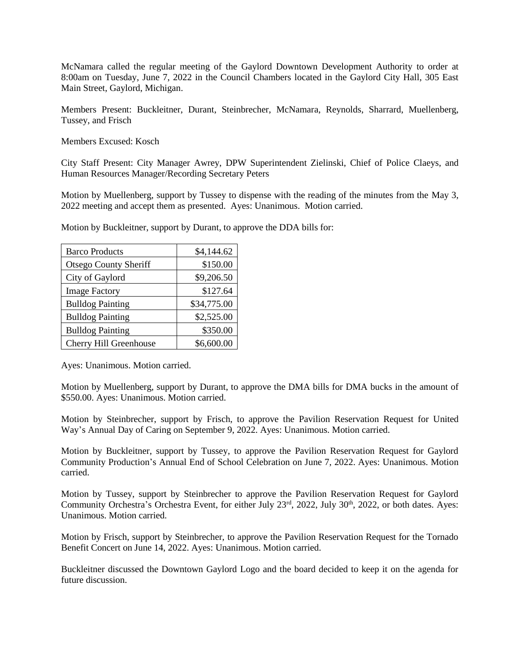McNamara called the regular meeting of the Gaylord Downtown Development Authority to order at 8:00am on Tuesday, June 7, 2022 in the Council Chambers located in the Gaylord City Hall, 305 East Main Street, Gaylord, Michigan.

Members Present: Buckleitner, Durant, Steinbrecher, McNamara, Reynolds, Sharrard, Muellenberg, Tussey, and Frisch

Members Excused: Kosch

City Staff Present: City Manager Awrey, DPW Superintendent Zielinski, Chief of Police Claeys, and Human Resources Manager/Recording Secretary Peters

Motion by Muellenberg, support by Tussey to dispense with the reading of the minutes from the May 3, 2022 meeting and accept them as presented. Ayes: Unanimous. Motion carried.

Motion by Buckleitner, support by Durant, to approve the DDA bills for:

| <b>Barco Products</b>        | \$4,144.62  |
|------------------------------|-------------|
| <b>Otsego County Sheriff</b> | \$150.00    |
| City of Gaylord              | \$9,206.50  |
| <b>Image Factory</b>         | \$127.64    |
| <b>Bulldog Painting</b>      | \$34,775.00 |
| <b>Bulldog Painting</b>      | \$2,525.00  |
| <b>Bulldog Painting</b>      | \$350.00    |
| Cherry Hill Greenhouse       | \$6,600.00  |

Ayes: Unanimous. Motion carried.

Motion by Muellenberg, support by Durant, to approve the DMA bills for DMA bucks in the amount of \$550.00. Ayes: Unanimous. Motion carried.

Motion by Steinbrecher, support by Frisch, to approve the Pavilion Reservation Request for United Way's Annual Day of Caring on September 9, 2022. Ayes: Unanimous. Motion carried.

Motion by Buckleitner, support by Tussey, to approve the Pavilion Reservation Request for Gaylord Community Production's Annual End of School Celebration on June 7, 2022. Ayes: Unanimous. Motion carried.

Motion by Tussey, support by Steinbrecher to approve the Pavilion Reservation Request for Gaylord Community Orchestra's Orchestra Event, for either July 23<sup>rd</sup>, 2022, July 30<sup>th</sup>, 2022, or both dates. Ayes: Unanimous. Motion carried.

Motion by Frisch, support by Steinbrecher, to approve the Pavilion Reservation Request for the Tornado Benefit Concert on June 14, 2022. Ayes: Unanimous. Motion carried.

Buckleitner discussed the Downtown Gaylord Logo and the board decided to keep it on the agenda for future discussion.